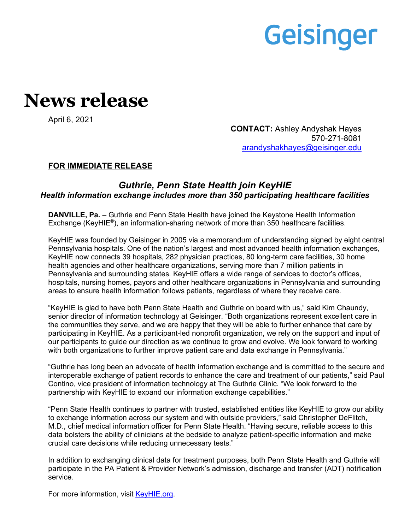# Geisinger

## **News release**

April 6, 2021

**CONTACT:** Ashley Andyshak Hayes 570-271-8081 [arandyshakhayes@geisinger.edu](mailto:arandyshakhayes@geisinger.edu)

### **FOR IMMEDIATE RELEASE**

### *Guthrie, Penn State Health join KeyHIE Health information exchange includes more than 350 participating healthcare facilities*

**DANVILLE, Pa.** – Guthrie and Penn State Health have joined the Keystone Health Information Exchange (KeyHIE®), an information-sharing network of more than 350 healthcare facilities.

KeyHIE was founded by Geisinger in 2005 via a memorandum of understanding signed by eight central Pennsylvania hospitals. One of the nation's largest and most advanced health information exchanges, KeyHIE now connects 39 hospitals, 282 physician practices, 80 long-term care facilities, 30 home health agencies and other healthcare organizations, serving more than 7 million patients in Pennsylvania and surrounding states. KeyHIE offers a wide range of services to doctor's offices, hospitals, nursing homes, payors and other healthcare organizations in Pennsylvania and surrounding areas to ensure health information follows patients, regardless of where they receive care.

"KeyHIE is glad to have both Penn State Health and Guthrie on board with us," said Kim Chaundy, senior director of information technology at Geisinger. "Both organizations represent excellent care in the communities they serve, and we are happy that they will be able to further enhance that care by participating in KeyHIE. As a participant-led nonprofit organization, we rely on the support and input of our participants to guide our direction as we continue to grow and evolve. We look forward to working with both organizations to further improve patient care and data exchange in Pennsylvania."

"Guthrie has long been an advocate of health information exchange and is committed to the secure and interoperable exchange of patient records to enhance the care and treatment of our patients," said Paul Contino, vice president of information technology at The Guthrie Clinic. "We look forward to the partnership with KeyHIE to expand our information exchange capabilities."

"Penn State Health continues to partner with trusted, established entities like KeyHIE to grow our ability to exchange information across our system and with outside providers," said Christopher DeFlitch, M.D., chief medical information officer for Penn State Health. "Having secure, reliable access to this data bolsters the ability of clinicians at the bedside to analyze patient-specific information and make crucial care decisions while reducing unnecessary tests."

In addition to exchanging clinical data for treatment purposes, both Penn State Health and Guthrie will participate in the PA Patient & Provider Network's admission, discharge and transfer (ADT) notification service.

For more information, visit [KeyHIE.org.](http://www.keyhie.org/)